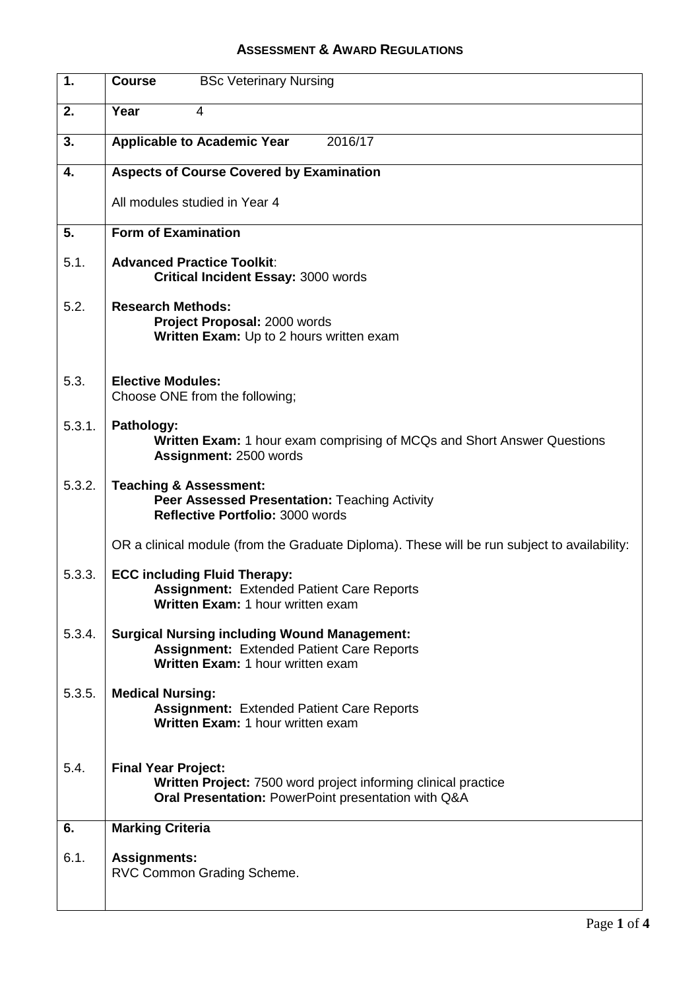## **ASSESSMENT & AWARD REGULATIONS**

| $\mathbf{1}$ . | <b>Course</b><br><b>BSc Veterinary Nursing</b>                                                                                                      |  |  |  |
|----------------|-----------------------------------------------------------------------------------------------------------------------------------------------------|--|--|--|
| 2.             | Year<br>4                                                                                                                                           |  |  |  |
| 3.             | <b>Applicable to Academic Year</b><br>2016/17                                                                                                       |  |  |  |
| 4.             | <b>Aspects of Course Covered by Examination</b>                                                                                                     |  |  |  |
|                | All modules studied in Year 4                                                                                                                       |  |  |  |
| 5.             | <b>Form of Examination</b>                                                                                                                          |  |  |  |
| 5.1.           | <b>Advanced Practice Toolkit:</b><br><b>Critical Incident Essay: 3000 words</b>                                                                     |  |  |  |
| 5.2.           | <b>Research Methods:</b><br>Project Proposal: 2000 words<br>Written Exam: Up to 2 hours written exam                                                |  |  |  |
| 5.3.           | <b>Elective Modules:</b><br>Choose ONE from the following;                                                                                          |  |  |  |
| 5.3.1.         | Pathology:<br><b>Written Exam:</b> 1 hour exam comprising of MCQs and Short Answer Questions<br>Assignment: 2500 words                              |  |  |  |
| 5.3.2.         | <b>Teaching &amp; Assessment:</b><br>Peer Assessed Presentation: Teaching Activity<br>Reflective Portfolio: 3000 words                              |  |  |  |
|                | OR a clinical module (from the Graduate Diploma). These will be run subject to availability:                                                        |  |  |  |
| 5.3.3.         | <b>ECC including Fluid Therapy:</b><br><b>Assignment: Extended Patient Care Reports</b><br>Written Exam: 1 hour written exam                        |  |  |  |
| 5.3.4.         | <b>Surgical Nursing including Wound Management:</b><br><b>Assignment: Extended Patient Care Reports</b><br>Written Exam: 1 hour written exam        |  |  |  |
| 5.3.5.         | <b>Medical Nursing:</b><br><b>Assignment: Extended Patient Care Reports</b><br>Written Exam: 1 hour written exam                                    |  |  |  |
| 5.4.           | <b>Final Year Project:</b><br>Written Project: 7500 word project informing clinical practice<br>Oral Presentation: PowerPoint presentation with Q&A |  |  |  |
| 6.             | <b>Marking Criteria</b>                                                                                                                             |  |  |  |
| 6.1.           | <b>Assignments:</b><br>RVC Common Grading Scheme.                                                                                                   |  |  |  |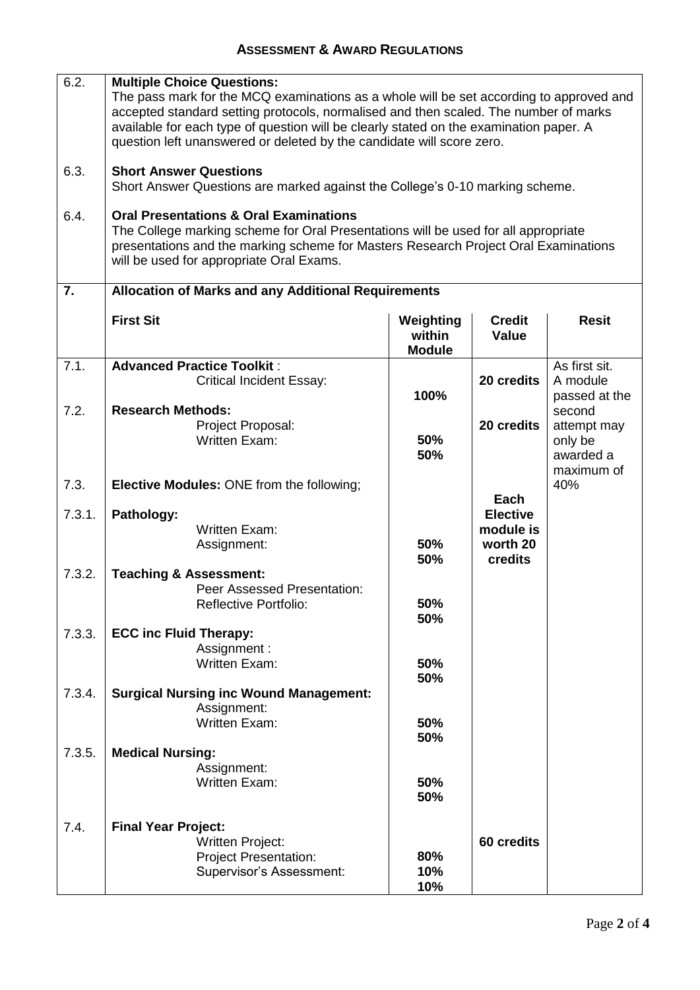## **ASSESSMENT & AWARD REGULATIONS**

| 6.2.   | <b>Multiple Choice Questions:</b><br>The pass mark for the MCQ examinations as a whole will be set according to approved and<br>accepted standard setting protocols, normalised and then scaled. The number of marks<br>available for each type of question will be clearly stated on the examination paper. A<br>question left unanswered or deleted by the candidate will score zero. |                                      |                               |                       |  |  |
|--------|-----------------------------------------------------------------------------------------------------------------------------------------------------------------------------------------------------------------------------------------------------------------------------------------------------------------------------------------------------------------------------------------|--------------------------------------|-------------------------------|-----------------------|--|--|
| 6.3.   | <b>Short Answer Questions</b><br>Short Answer Questions are marked against the College's 0-10 marking scheme.                                                                                                                                                                                                                                                                           |                                      |                               |                       |  |  |
| 6.4.   | <b>Oral Presentations &amp; Oral Examinations</b><br>The College marking scheme for Oral Presentations will be used for all appropriate<br>presentations and the marking scheme for Masters Research Project Oral Examinations<br>will be used for appropriate Oral Exams.                                                                                                              |                                      |                               |                       |  |  |
| 7.     | <b>Allocation of Marks and any Additional Requirements</b>                                                                                                                                                                                                                                                                                                                              |                                      |                               |                       |  |  |
|        | <b>First Sit</b>                                                                                                                                                                                                                                                                                                                                                                        | Weighting<br>within<br><b>Module</b> | <b>Credit</b><br><b>Value</b> | <b>Resit</b>          |  |  |
| 7.1.   | <b>Advanced Practice Toolkit:</b>                                                                                                                                                                                                                                                                                                                                                       |                                      |                               | As first sit.         |  |  |
|        | <b>Critical Incident Essay:</b>                                                                                                                                                                                                                                                                                                                                                         |                                      | 20 credits                    | A module              |  |  |
| 7.2.   | <b>Research Methods:</b>                                                                                                                                                                                                                                                                                                                                                                | 100%                                 |                               | passed at the         |  |  |
|        | Project Proposal:                                                                                                                                                                                                                                                                                                                                                                       |                                      | 20 credits                    | second<br>attempt may |  |  |
|        | <b>Written Exam:</b>                                                                                                                                                                                                                                                                                                                                                                    | 50%                                  |                               | only be               |  |  |
|        |                                                                                                                                                                                                                                                                                                                                                                                         | 50%                                  |                               | awarded a             |  |  |
|        |                                                                                                                                                                                                                                                                                                                                                                                         |                                      |                               | maximum of            |  |  |
| 7.3.   | <b>Elective Modules: ONE from the following;</b>                                                                                                                                                                                                                                                                                                                                        |                                      |                               | 40%                   |  |  |
| 7.3.1. | Pathology:                                                                                                                                                                                                                                                                                                                                                                              |                                      | Each<br><b>Elective</b>       |                       |  |  |
|        | <b>Written Exam:</b>                                                                                                                                                                                                                                                                                                                                                                    |                                      | module is                     |                       |  |  |
|        | Assignment:                                                                                                                                                                                                                                                                                                                                                                             | 50%                                  | worth 20                      |                       |  |  |
|        |                                                                                                                                                                                                                                                                                                                                                                                         | 50%                                  | credits                       |                       |  |  |
| 7.3.2. | <b>Teaching &amp; Assessment:</b>                                                                                                                                                                                                                                                                                                                                                       |                                      |                               |                       |  |  |
|        | Peer Assessed Presentation:                                                                                                                                                                                                                                                                                                                                                             |                                      |                               |                       |  |  |
|        | <b>Reflective Portfolio:</b>                                                                                                                                                                                                                                                                                                                                                            | 50%<br>50%                           |                               |                       |  |  |
| 7.3.3. | <b>ECC inc Fluid Therapy:</b>                                                                                                                                                                                                                                                                                                                                                           |                                      |                               |                       |  |  |
|        | Assignment:                                                                                                                                                                                                                                                                                                                                                                             |                                      |                               |                       |  |  |
|        | <b>Written Exam:</b>                                                                                                                                                                                                                                                                                                                                                                    | 50%                                  |                               |                       |  |  |
|        |                                                                                                                                                                                                                                                                                                                                                                                         | 50%                                  |                               |                       |  |  |
| 7.3.4. | <b>Surgical Nursing inc Wound Management:</b><br>Assignment:                                                                                                                                                                                                                                                                                                                            |                                      |                               |                       |  |  |
|        | <b>Written Exam:</b>                                                                                                                                                                                                                                                                                                                                                                    | 50%                                  |                               |                       |  |  |
|        |                                                                                                                                                                                                                                                                                                                                                                                         | 50%                                  |                               |                       |  |  |
| 7.3.5. | <b>Medical Nursing:</b>                                                                                                                                                                                                                                                                                                                                                                 |                                      |                               |                       |  |  |
|        | Assignment:<br><b>Written Exam:</b>                                                                                                                                                                                                                                                                                                                                                     | 50%                                  |                               |                       |  |  |
|        |                                                                                                                                                                                                                                                                                                                                                                                         | 50%                                  |                               |                       |  |  |
|        |                                                                                                                                                                                                                                                                                                                                                                                         |                                      |                               |                       |  |  |
| 7.4.   | <b>Final Year Project:</b>                                                                                                                                                                                                                                                                                                                                                              |                                      |                               |                       |  |  |
|        | <b>Written Project:</b>                                                                                                                                                                                                                                                                                                                                                                 |                                      | 60 credits                    |                       |  |  |
|        | <b>Project Presentation:</b>                                                                                                                                                                                                                                                                                                                                                            | 80%<br>10%                           |                               |                       |  |  |
|        | Supervisor's Assessment:                                                                                                                                                                                                                                                                                                                                                                | 10%                                  |                               |                       |  |  |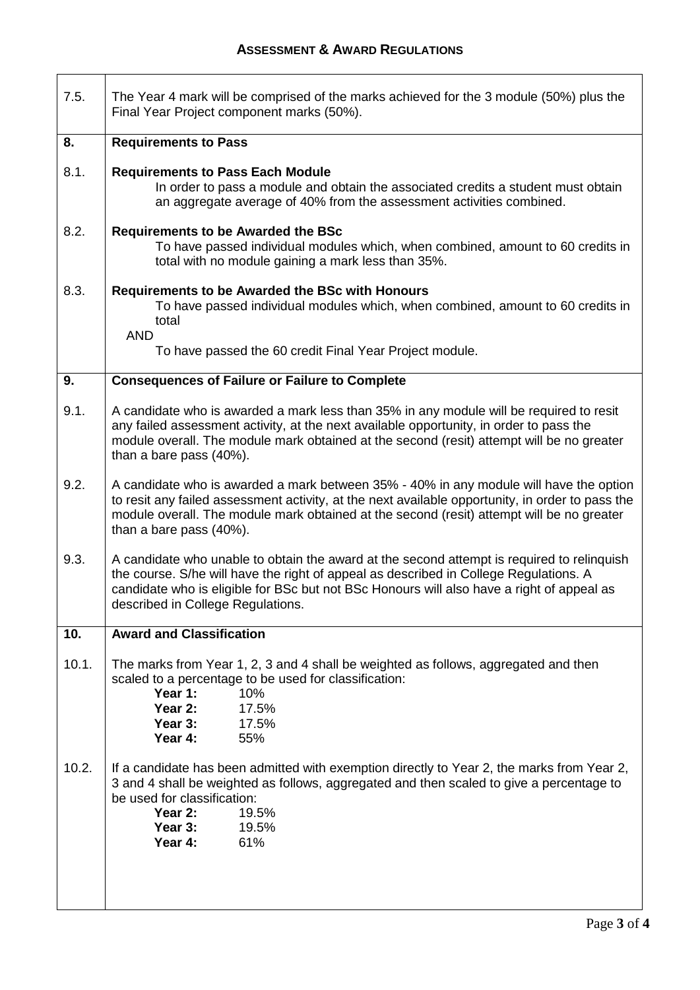$\Gamma$ 

| 7.5.  | The Year 4 mark will be comprised of the marks achieved for the 3 module (50%) plus the<br>Final Year Project component marks (50%).                                                                                                                                                                                  |  |  |  |
|-------|-----------------------------------------------------------------------------------------------------------------------------------------------------------------------------------------------------------------------------------------------------------------------------------------------------------------------|--|--|--|
| 8.    | <b>Requirements to Pass</b>                                                                                                                                                                                                                                                                                           |  |  |  |
| 8.1.  | <b>Requirements to Pass Each Module</b><br>In order to pass a module and obtain the associated credits a student must obtain<br>an aggregate average of 40% from the assessment activities combined.                                                                                                                  |  |  |  |
| 8.2.  | <b>Requirements to be Awarded the BSc</b><br>To have passed individual modules which, when combined, amount to 60 credits in<br>total with no module gaining a mark less than 35%.                                                                                                                                    |  |  |  |
| 8.3.  | <b>Requirements to be Awarded the BSc with Honours</b><br>To have passed individual modules which, when combined, amount to 60 credits in<br>total                                                                                                                                                                    |  |  |  |
|       | <b>AND</b><br>To have passed the 60 credit Final Year Project module.                                                                                                                                                                                                                                                 |  |  |  |
| 9.    | <b>Consequences of Failure or Failure to Complete</b>                                                                                                                                                                                                                                                                 |  |  |  |
| 9.1.  | A candidate who is awarded a mark less than 35% in any module will be required to resit<br>any failed assessment activity, at the next available opportunity, in order to pass the<br>module overall. The module mark obtained at the second (resit) attempt will be no greater<br>than a bare pass (40%).            |  |  |  |
| 9.2.  | A candidate who is awarded a mark between 35% - 40% in any module will have the option<br>to resit any failed assessment activity, at the next available opportunity, in order to pass the<br>module overall. The module mark obtained at the second (resit) attempt will be no greater<br>than a bare pass (40%).    |  |  |  |
| 9.3.  | A candidate who unable to obtain the award at the second attempt is required to relinguish<br>the course. S/he will have the right of appeal as described in College Regulations. A<br>candidate who is eligible for BSc but not BSc Honours will also have a right of appeal as<br>described in College Regulations. |  |  |  |
| 10.   | <b>Award and Classification</b>                                                                                                                                                                                                                                                                                       |  |  |  |
| 10.1. | The marks from Year 1, 2, 3 and 4 shall be weighted as follows, aggregated and then<br>scaled to a percentage to be used for classification:<br>Year 1:<br>10%<br>Year 2:<br>17.5%<br>Year 3:<br>17.5%<br>Year 4:<br>55%                                                                                              |  |  |  |
| 10.2. | If a candidate has been admitted with exemption directly to Year 2, the marks from Year 2,<br>3 and 4 shall be weighted as follows, aggregated and then scaled to give a percentage to<br>be used for classification:<br>Year 2:<br>19.5%<br>Year 3:<br>19.5%<br>Year 4:<br>61%                                       |  |  |  |